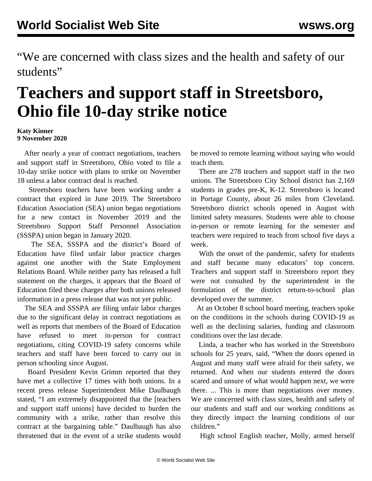"We are concerned with class sizes and the health and safety of our students"

## **Teachers and support staff in Streetsboro, Ohio file 10-day strike notice**

## **Katy Kinner 9 November 2020**

 After nearly a year of contract negotiations, teachers and support staff in Streetsboro, Ohio voted to file a 10-day strike notice with plans to strike on November 18 unless a labor contract deal is reached.

 Streetsboro teachers have been working under a contract that expired in June 2019. The Streetsboro Education Association (SEA) union began negotiations for a new contact in November 2019 and the Streetsboro Support Staff Personnel Association (SSSPA) union began in January 2020.

 The SEA, SSSPA and the district's Board of Education have filed unfair labor practice charges against one another with the State Employment Relations Board. While neither party has released a full statement on the charges, it appears that the Board of Education filed these charges after both unions released information in a press release that was not yet public.

 The SEA and SSSPA are filing unfair labor charges due to the significant delay in contract negotiations as well as reports that members of the Board of Education have refused to meet in-person for contract negotiations, citing COVID-19 safety concerns while teachers and staff have been forced to carry out in person schooling since August.

 Board President Kevin Grimm reported that they have met a collective 17 times with both unions. In a recent press release Superintendent Mike Daulbaugh stated, "I am extremely disappointed that the [teachers and support staff unions] have decided to burden the community with a strike, rather than resolve this contract at the bargaining table." Daulbaugh has also threatened that in the event of a strike students would be moved to remote learning without saying who would teach them.

 There are 278 teachers and support staff in the two unions. The Streetsboro City School district has 2,169 students in grades pre-K, K-12. Streetsboro is located in Portage County, about 26 miles from Cleveland. Streetsboro district schools opened in August with limited safety measures. Students were able to choose in-person or remote learning for the semester and teachers were required to teach from school five days a week.

 With the onset of the pandemic, safety for students and staff became many educators' top concern. Teachers and support staff in Streetsboro report they were not consulted by the superintendent in the formulation of the district return-to-school plan developed over the summer.

 At an October 8 school board meeting, teachers spoke on the conditions in the schools during COVID-19 as well as the declining salaries, funding and classroom conditions over the last decade.

 Linda, a teacher who has worked in the Streetsboro schools for 25 years, said, "When the doors opened in August and many staff were afraid for their safety, we returned. And when our students entered the doors scared and unsure of what would happen next, we were there. ... This is more than negotiations over money. We are concerned with class sizes, health and safety of our students and staff and our working conditions as they directly impact the learning conditions of our children."

High school English teacher, Molly, armed herself